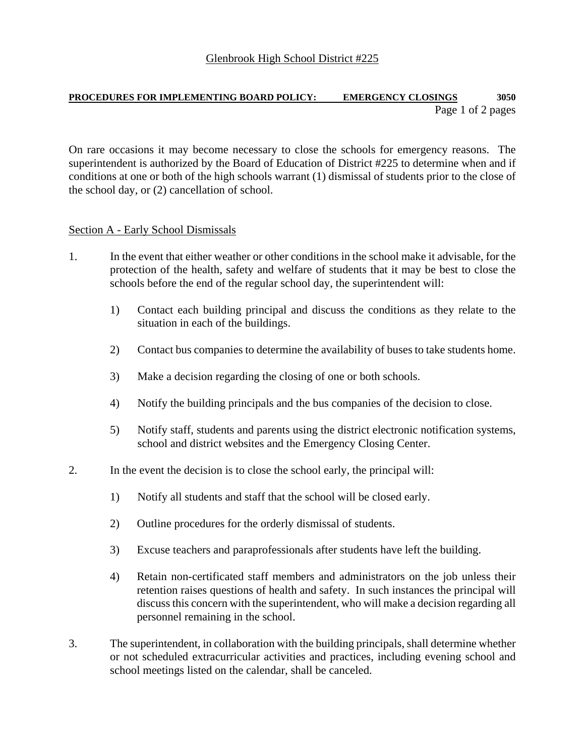## **PROCEDURES FOR IMPLEMENTING BOARD POLICY: EMERGENCY CLOSINGS 3050** Page 1 of 2 pages

On rare occasions it may become necessary to close the schools for emergency reasons. The superintendent is authorized by the Board of Education of District #225 to determine when and if conditions at one or both of the high schools warrant (1) dismissal of students prior to the close of the school day, or (2) cancellation of school.

## Section A - Early School Dismissals

- 1. In the event that either weather or other conditions in the school make it advisable, for the protection of the health, safety and welfare of students that it may be best to close the schools before the end of the regular school day, the superintendent will:
	- 1) Contact each building principal and discuss the conditions as they relate to the situation in each of the buildings.
	- 2) Contact bus companies to determine the availability of buses to take students home.
	- 3) Make a decision regarding the closing of one or both schools.
	- 4) Notify the building principals and the bus companies of the decision to close.
	- 5) Notify staff, students and parents using the district electronic notification systems, school and district websites and the Emergency Closing Center.
- 2. In the event the decision is to close the school early, the principal will:
	- 1) Notify all students and staff that the school will be closed early.
	- 2) Outline procedures for the orderly dismissal of students.
	- 3) Excuse teachers and paraprofessionals after students have left the building.
	- 4) Retain non-certificated staff members and administrators on the job unless their retention raises questions of health and safety. In such instances the principal will discuss this concern with the superintendent, who will make a decision regarding all personnel remaining in the school.
- 3. The superintendent, in collaboration with the building principals, shall determine whether or not scheduled extracurricular activities and practices, including evening school and school meetings listed on the calendar, shall be canceled.